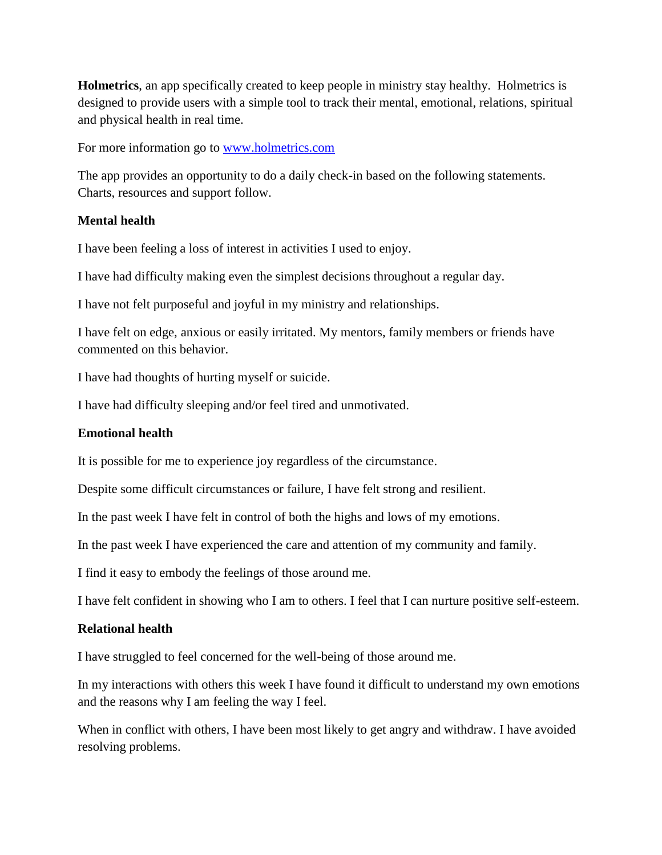**Holmetrics**, an app specifically created to keep people in ministry stay healthy. Holmetrics is designed to provide users with a simple tool to track their mental, emotional, relations, spiritual and physical health in real time.

For more information go to [www.holmetrics.com](http://www.holmetrics.com/)

The app provides an opportunity to do a daily check-in based on the following statements. Charts, resources and support follow.

### **Mental health**

I have been feeling a loss of interest in activities I used to enjoy.

I have had difficulty making even the simplest decisions throughout a regular day.

I have not felt purposeful and joyful in my ministry and relationships.

I have felt on edge, anxious or easily irritated. My mentors, family members or friends have commented on this behavior.

I have had thoughts of hurting myself or suicide.

I have had difficulty sleeping and/or feel tired and unmotivated.

#### **Emotional health**

It is possible for me to experience joy regardless of the circumstance.

Despite some difficult circumstances or failure, I have felt strong and resilient.

In the past week I have felt in control of both the highs and lows of my emotions.

In the past week I have experienced the care and attention of my community and family.

I find it easy to embody the feelings of those around me.

I have felt confident in showing who I am to others. I feel that I can nurture positive self-esteem.

#### **Relational health**

I have struggled to feel concerned for the well-being of those around me.

In my interactions with others this week I have found it difficult to understand my own emotions and the reasons why I am feeling the way I feel.

When in conflict with others, I have been most likely to get angry and withdraw. I have avoided resolving problems.